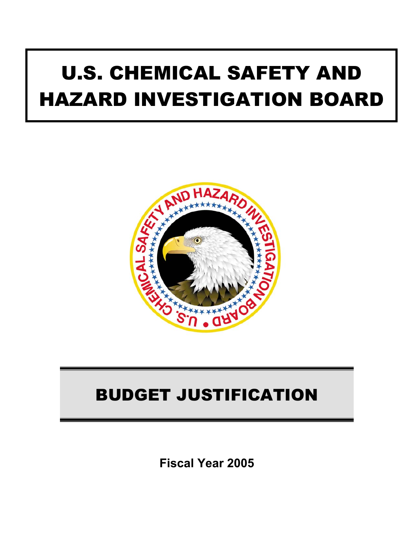# U.S. CHEMICAL SAFETY AND HAZARD INVESTIGATION BOARD



# BUDGET JUSTIFICATION

**Fiscal Year 2005**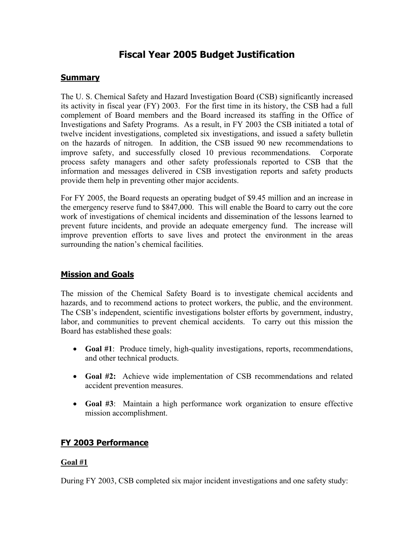# **Fiscal Year 2005 Budget Justification**

# **Summary**

The U. S. Chemical Safety and Hazard Investigation Board (CSB) significantly increased its activity in fiscal year (FY) 2003. For the first time in its history, the CSB had a full complement of Board members and the Board increased its staffing in the Office of Investigations and Safety Programs. As a result, in FY 2003 the CSB initiated a total of twelve incident investigations, completed six investigations, and issued a safety bulletin on the hazards of nitrogen. In addition, the CSB issued 90 new recommendations to improve safety, and successfully closed 10 previous recommendations. Corporate process safety managers and other safety professionals reported to CSB that the information and messages delivered in CSB investigation reports and safety products provide them help in preventing other major accidents.

For FY 2005, the Board requests an operating budget of \$9.45 million and an increase in the emergency reserve fund to \$847,000. This will enable the Board to carry out the core work of investigations of chemical incidents and dissemination of the lessons learned to prevent future incidents, and provide an adequate emergency fund. The increase will improve prevention efforts to save lives and protect the environment in the areas surrounding the nation's chemical facilities.

# **Mission and Goals**

The mission of the Chemical Safety Board is to investigate chemical accidents and hazards, and to recommend actions to protect workers, the public, and the environment. The CSB's independent, scientific investigations bolster efforts by government, industry, labor, and communities to prevent chemical accidents. To carry out this mission the Board has established these goals:

- **Goal #1**: Produce timely, high-quality investigations, reports, recommendations, and other technical products.
- **Goal #2:** Achieve wide implementation of CSB recommendations and related accident prevention measures.
- **Goal #3**: Maintain a high performance work organization to ensure effective mission accomplishment.

# **FY 2003 Performance**

# **Goal #1**

During FY 2003, CSB completed six major incident investigations and one safety study: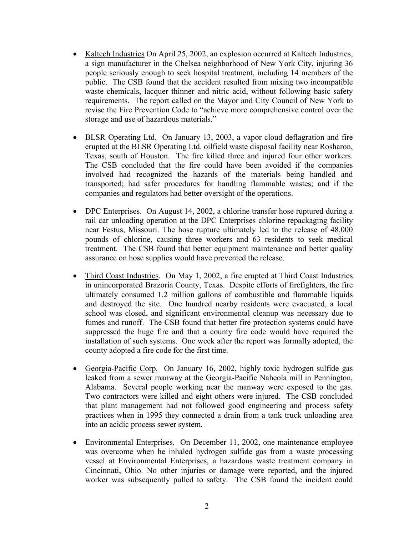- [Kaltech Industries](http://www.csb.gov/completed_investigations/info.cfm?ID=26) On April 25, 2002, an explosion occurred at Kaltech Industries, a sign manufacturer in the Chelsea neighborhood of New York City, injuring 36 people seriously enough to seek hospital treatment, including 14 members of the public. The CSB found that the accident resulted from mixing two incompatible waste chemicals, lacquer thinner and nitric acid, without following basic safety requirements. The report called on the Mayor and City Council of New York to revise the Fire Prevention Code to "achieve more comprehensive control over the storage and use of hazardous materials."
- [BLSR Operating Ltd.](http://www.csb.gov/completed_investigations/info.cfm?ID=39) On January 13, 2003, a vapor cloud deflagration and fire erupted at the BLSR Operating Ltd. oilfield waste disposal facility near Rosharon, Texas, south of Houston. The fire killed three and injured four other workers. The CSB concluded that the fire could have been avoided if the companies involved had recognized the hazards of the materials being handled and transported; had safer procedures for handling flammable wastes; and if the companies and regulators had better oversight of the operations.
- DPC [Enterprises.](http://www.csb.gov/completed_investigations/info.cfm?ID=20) On August 14, 2002, a chlorine transfer hose ruptured during a rail car unloading operation at the DPC Enterprises chlorine repackaging facility near Festus, Missouri. The hose rupture ultimately led to the release of 48,000 pounds of chlorine, causing three workers and 63 residents to seek medical treatment. The CSB found that better equipment maintenance and better quality assurance on hose supplies would have prevented the release.
- [Third Coast Industries.](http://www.csb.gov/completed_investigations/info.cfm?ID=30) On May 1, 2002, a fire erupted at Third Coast Industries in unincorporated Brazoria County, Texas. Despite efforts of firefighters, the fire ultimately consumed 1.2 million gallons of combustible and flammable liquids and destroyed the site. One hundred nearby residents were evacuated, a local school was closed, and significant environmental cleanup was necessary due to fumes and runoff. The CSB found that better fire protection systems could have suppressed the huge fire and that a county fire code would have required the installation of such systems. One week after the report was formally adopted, the county adopted a fire code for the first time.
- [Georgia-Pacific Corp.](http://www.csb.gov/completed_investigations/info.cfm?ID=27) On January 16, 2002, highly toxic hydrogen sulfide gas leaked from a sewer manway at the Georgia-Pacific Naheola mill in Pennington, Alabama. Several people working near the manway were exposed to the gas. Two contractors were killed and eight others were injured. The CSB concluded that plant management had not followed good engineering and process safety practices when in 1995 they connected a drain from a tank truck unloading area into an acidic process sewer system.
- [Environmental Enterprises.](http://www.csb.gov/completed_investigations/info.cfm?ID=23) On December 11, 2002, one maintenance employee was overcome when he inhaled hydrogen sulfide gas from a waste processing vessel at Environmental Enterprises, a hazardous waste treatment company in Cincinnati, Ohio. No other injuries or damage were reported, and the injured worker was subsequently pulled to safety. The CSB found the incident could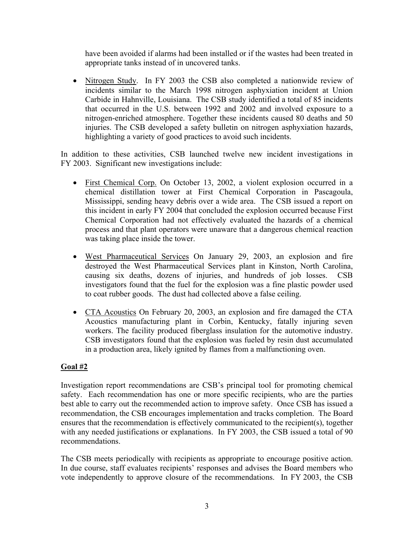have been avoided if alarms had been installed or if the wastes had been treated in appropriate tanks instead of in uncovered tanks.

• Nitrogen Study. In FY 2003 the CSB also completed a nationwide review of incidents similar to the March 1998 nitrogen asphyxiation incident at Union Carbide in Hahnville, Louisiana. The CSB study identified a total of 85 incidents that occurred in the U.S. between 1992 and 2002 and involved exposure to a nitrogen-enriched atmosphere. Together these incidents caused 80 deaths and 50 injuries. The CSB developed a safety bulletin on nitrogen asphyxiation hazards, highlighting a variety of good practices to avoid such incidents.

In addition to these activities, CSB launched twelve new incident investigations in FY 2003. Significant new investigations include:

- [First Chemical Corp.](http://www.csb.gov/completed_investigations/info.cfm?ID=24) On October 13, 2002, a violent explosion occurred in a chemical distillation tower at First Chemical Corporation in Pascagoula, Mississippi, sending heavy debris over a wide area. The CSB issued a report on this incident in early FY 2004 that concluded the explosion occurred because First Chemical Corporation had not effectively evaluated the hazards of a chemical process and that plant operators were unaware that a dangerous chemical reaction was taking place inside the tower.
- [West Pharmaceutical Services](http://www.csb.gov/completed_investigations/info.cfm?ID=34) On January 29, 2003, an explosion and fire destroyed the West Pharmaceutical Services plant in Kinston, North Carolina, causing six deaths, dozens of injuries, and hundreds of job losses. CSB investigators found that the fuel for the explosion was a fine plastic powder used to coat rubber goods. The dust had collected above a false ceiling.
- [CTA Acoustics](http://www.csb.gov/completed_investigations/info.cfm?ID=35) On February 20, 2003, an explosion and fire damaged the CTA Acoustics manufacturing plant in Corbin, Kentucky, fatally injuring seven workers. The facility produced fiberglass insulation for the automotive industry. CSB investigators found that the explosion was fueled by resin dust accumulated in a production area, likely ignited by flames from a malfunctioning oven.

# **Goal #2**

Investigation report recommendations are CSB's principal tool for promoting chemical safety. Each recommendation has one or more specific recipients, who are the parties best able to carry out the recommended action to improve safety. Once CSB has issued a recommendation, the CSB encourages implementation and tracks completion. The Board ensures that the recommendation is effectively communicated to the recipient(s), together with any needed justifications or explanations. In FY 2003, the CSB issued a total of 90 recommendations.

The CSB meets periodically with recipients as appropriate to encourage positive action. In due course, staff evaluates recipients' responses and advises the Board members who vote independently to approve closure of the recommendations. In FY 2003, the CSB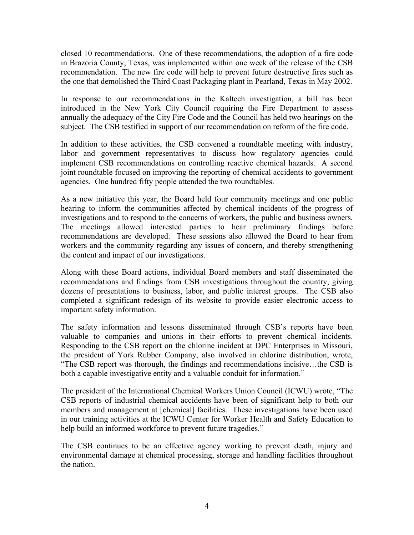closed 10 recommendations. One of these recommendations, the adoption of a fire code in Brazoria County, Texas, was implemented within one week of the release of the CSB recommendation. The new fire code will help to prevent future destructive fires such as the one that demolished the Third Coast Packaging plant in Pearland, Texas in May 2002.

In response to our recommendations in the Kaltech investigation, a bill has been introduced in the New York City Council requiring the Fire Department to assess annually the adequacy of the City Fire Code and the Council has held two hearings on the subject. The CSB testified in support of our recommendation on reform of the fire code.

In addition to these activities, the CSB convened a roundtable meeting with industry, labor and government representatives to discuss how regulatory agencies could implement CSB recommendations on controlling reactive chemical hazards. A second joint roundtable focused on improving the reporting of chemical accidents to government agencies. One hundred fifty people attended the two roundtables.

As a new initiative this year, the Board held four community meetings and one public hearing to inform the communities affected by chemical incidents of the progress of investigations and to respond to the concerns of workers, the public and business owners. The meetings allowed interested parties to hear preliminary findings before recommendations are developed. These sessions also allowed the Board to hear from workers and the community regarding any issues of concern, and thereby strengthening the content and impact of our investigations.

Along with these Board actions, individual Board members and staff disseminated the recommendations and findings from CSB investigations throughout the country, giving dozens of presentations to business, labor, and public interest groups. The CSB also completed a significant redesign of its website to provide easier electronic access to important safety information.

The safety information and lessons disseminated through CSB's reports have been valuable to companies and unions in their efforts to prevent chemical incidents. Responding to the CSB report on the chlorine incident at DPC Enterprises in Missouri, the president of York Rubber Company, also involved in chlorine distribution, wrote, "The CSB report was thorough, the findings and recommendations incisive…the CSB is both a capable investigative entity and a valuable conduit for information."

The president of the International Chemical Workers Union Council (ICWU) wrote, "The CSB reports of industrial chemical accidents have been of significant help to both our members and management at [chemical] facilities. These investigations have been used in our training activities at the ICWU Center for Worker Health and Safety Education to help build an informed workforce to prevent future tragedies."

The CSB continues to be an effective agency working to prevent death, injury and environmental damage at chemical processing, storage and handling facilities throughout the nation.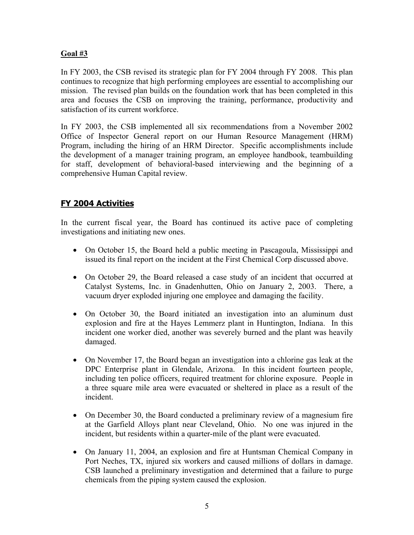### **Goal #3**

In FY 2003, the CSB revised its strategic plan for FY 2004 through FY 2008. This plan continues to recognize that high performing employees are essential to accomplishing our mission. The revised plan builds on the foundation work that has been completed in this area and focuses the CSB on improving the training, performance, productivity and satisfaction of its current workforce.

In FY 2003, the CSB implemented all six recommendations from a November 2002 Office of Inspector General report on our Human Resource Management (HRM) Program, including the hiring of an HRM Director. Specific accomplishments include the development of a manager training program, an employee handbook, teambuilding for staff, development of behavioral-based interviewing and the beginning of a comprehensive Human Capital review.

# **FY 2004 Activities**

In the current fiscal year, the Board has continued its active pace of completing investigations and initiating new ones.

- On October 15, the Board held a public meeting in Pascagoula, Mississippi and issued its final report on the incident at the First Chemical Corp discussed above.
- On October 29, the Board released a case study of an incident that occurred at Catalyst Systems, Inc. in Gnadenhutten, Ohio on January 2, 2003. There, a vacuum dryer exploded injuring one employee and damaging the facility.
- On October 30, the Board initiated an investigation into an aluminum dust explosion and fire at the Hayes Lemmerz plant in Huntington, Indiana. In this incident one worker died, another was severely burned and the plant was heavily damaged.
- On November 17, the Board began an investigation into a chlorine gas leak at the DPC Enterprise plant in Glendale, Arizona. In this incident fourteen people, including ten police officers, required treatment for chlorine exposure. People in a three square mile area were evacuated or sheltered in place as a result of the incident.
- On December 30, the Board conducted a preliminary review of a magnesium fire at the Garfield Alloys plant near Cleveland, Ohio. No one was injured in the incident, but residents within a quarter-mile of the plant were evacuated.
- On January 11, 2004, an explosion and fire at Huntsman Chemical Company in Port Neches, TX, injured six workers and caused millions of dollars in damage. CSB launched a preliminary investigation and determined that a failure to purge chemicals from the piping system caused the explosion.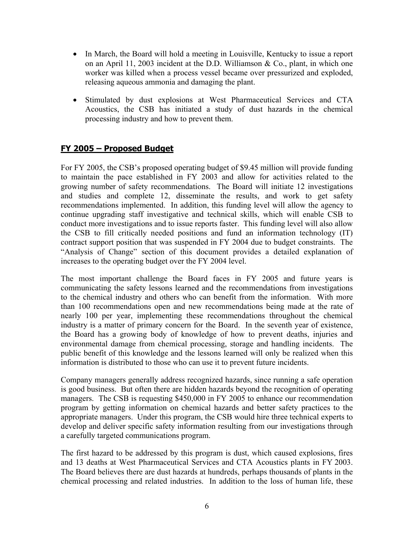- In March, the Board will hold a meeting in Louisville, Kentucky to issue a report on an April 11, 2003 incident at the D.D. Williamson & Co., plant, in which one worker was killed when a process vessel became over pressurized and exploded, releasing aqueous ammonia and damaging the plant.
- Stimulated by dust explosions at West Pharmaceutical Services and CTA Acoustics, the CSB has initiated a study of dust hazards in the chemical processing industry and how to prevent them.

# **FY 2005 – Proposed Budget**

For FY 2005, the CSB's proposed operating budget of \$9.45 million will provide funding to maintain the pace established in FY 2003 and allow for activities related to the growing number of safety recommendations. The Board will initiate 12 investigations and studies and complete 12, disseminate the results, and work to get safety recommendations implemented. In addition, this funding level will allow the agency to continue upgrading staff investigative and technical skills, which will enable CSB to conduct more investigations and to issue reports faster. This funding level will also allow the CSB to fill critically needed positions and fund an information technology (IT) contract support position that was suspended in FY 2004 due to budget constraints. The "Analysis of Change" section of this document provides a detailed explanation of increases to the operating budget over the FY 2004 level.

The most important challenge the Board faces in FY 2005 and future years is communicating the safety lessons learned and the recommendations from investigations to the chemical industry and others who can benefit from the information. With more than 100 recommendations open and new recommendations being made at the rate of nearly 100 per year, implementing these recommendations throughout the chemical industry is a matter of primary concern for the Board. In the seventh year of existence, the Board has a growing body of knowledge of how to prevent deaths, injuries and environmental damage from chemical processing, storage and handling incidents. The public benefit of this knowledge and the lessons learned will only be realized when this information is distributed to those who can use it to prevent future incidents.

Company managers generally address recognized hazards, since running a safe operation is good business. But often there are hidden hazards beyond the recognition of operating managers. The CSB is requesting \$450,000 in FY 2005 to enhance our recommendation program by getting information on chemical hazards and better safety practices to the appropriate managers. Under this program, the CSB would hire three technical experts to develop and deliver specific safety information resulting from our investigations through a carefully targeted communications program.

The first hazard to be addressed by this program is dust, which caused explosions, fires and 13 deaths at West Pharmaceutical Services and CTA Acoustics plants in FY 2003. The Board believes there are dust hazards at hundreds, perhaps thousands of plants in the chemical processing and related industries. In addition to the loss of human life, these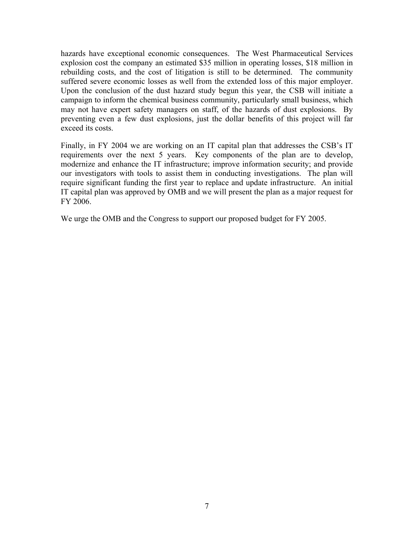hazards have exceptional economic consequences. The West Pharmaceutical Services explosion cost the company an estimated \$35 million in operating losses, \$18 million in rebuilding costs, and the cost of litigation is still to be determined. The community suffered severe economic losses as well from the extended loss of this major employer. Upon the conclusion of the dust hazard study begun this year, the CSB will initiate a campaign to inform the chemical business community, particularly small business, which may not have expert safety managers on staff, of the hazards of dust explosions. By preventing even a few dust explosions, just the dollar benefits of this project will far exceed its costs.

Finally, in FY 2004 we are working on an IT capital plan that addresses the CSB's IT requirements over the next 5 years. Key components of the plan are to develop, modernize and enhance the IT infrastructure; improve information security; and provide our investigators with tools to assist them in conducting investigations. The plan will require significant funding the first year to replace and update infrastructure. An initial IT capital plan was approved by OMB and we will present the plan as a major request for FY 2006.

We urge the OMB and the Congress to support our proposed budget for FY 2005.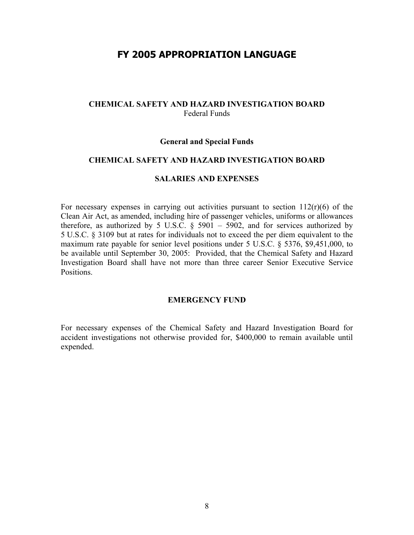# **FY 2005 APPROPRIATION LANGUAGE**

#### **CHEMICAL SAFETY AND HAZARD INVESTIGATION BOARD**  Federal Funds

#### **General and Special Funds**

#### **CHEMICAL SAFETY AND HAZARD INVESTIGATION BOARD**

#### **SALARIES AND EXPENSES**

For necessary expenses in carrying out activities pursuant to section  $112(r)(6)$  of the Clean Air Act, as amended, including hire of passenger vehicles, uniforms or allowances therefore, as authorized by 5 U.S.C.  $\S$  5901 – 5902, and for services authorized by 5 U.S.C. § 3109 but at rates for individuals not to exceed the per diem equivalent to the maximum rate payable for senior level positions under 5 U.S.C. § 5376, \$9,451,000, to be available until September 30, 2005: Provided, that the Chemical Safety and Hazard Investigation Board shall have not more than three career Senior Executive Service **Positions** 

#### **EMERGENCY FUND**

For necessary expenses of the Chemical Safety and Hazard Investigation Board for accident investigations not otherwise provided for, \$400,000 to remain available until expended.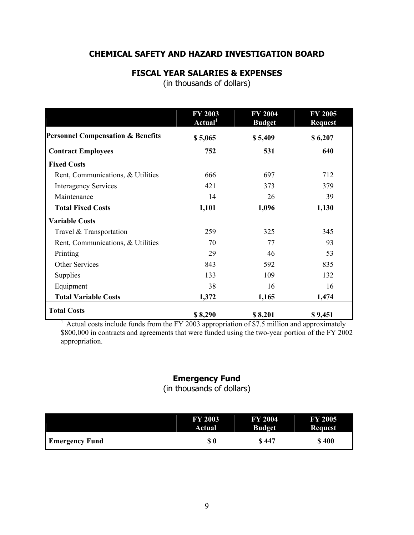# **CHEMICAL SAFETY AND HAZARD INVESTIGATION BOARD**

### **FISCAL YEAR SALARIES & EXPENSES**

(in thousands of dollars)

|                                              | <b>FY 2003</b><br>Actual <sup>1</sup> | <b>FY 2004</b><br><b>Budget</b> | <b>FY 2005</b><br><b>Request</b> |
|----------------------------------------------|---------------------------------------|---------------------------------|----------------------------------|
| <b>Personnel Compensation &amp; Benefits</b> | \$5,065                               | \$5,409                         | \$6,207                          |
| <b>Contract Employees</b>                    | 752                                   | 531                             | 640                              |
| <b>Fixed Costs</b>                           |                                       |                                 |                                  |
| Rent, Communications, & Utilities            | 666                                   | 697                             | 712                              |
| <b>Interagency Services</b>                  | 421                                   | 373                             | 379                              |
| Maintenance                                  | 14                                    | 26                              | 39                               |
| <b>Total Fixed Costs</b>                     | 1,101                                 | 1,096                           | 1,130                            |
| <b>Variable Costs</b>                        |                                       |                                 |                                  |
| Travel & Transportation                      | 259                                   | 325                             | 345                              |
| Rent, Communications, & Utilities            | 70                                    | 77                              | 93                               |
| Printing                                     | 29                                    | 46                              | 53                               |
| <b>Other Services</b>                        | 843                                   | 592                             | 835                              |
| <b>Supplies</b>                              | 133                                   | 109                             | 132                              |
| Equipment                                    | 38                                    | 16                              | 16                               |
| <b>Total Variable Costs</b>                  | 1,372                                 | 1,165                           | 1,474                            |
| <b>Total Costs</b>                           | \$8,290                               | \$8,201                         | \$9,451                          |

<sup>1</sup> Actual costs include funds from the FY 2003 appropriation of \$7.5 million and approximately \$800,000 in contracts and agreements that were funded using the two-year portion of the FY 2002 appropriation.

# **Emergency Fund**

(in thousands of dollars)

|                       | <b>FY 2003</b> | <b>FY 2004</b> | <b>FY 2005</b> |
|-----------------------|----------------|----------------|----------------|
|                       | Actual         | <b>Budget</b>  | <b>Request</b> |
| <b>Emergency Fund</b> | \$0            | <b>S</b> 447   | \$400          |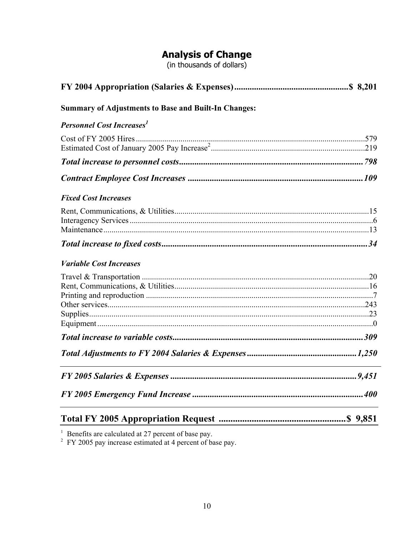# **Analysis of Change**<br>(in thousands of dollars)

| <b>Summary of Adjustments to Base and Built-In Changes:</b> |  |
|-------------------------------------------------------------|--|
| <b>Personnel Cost Increases</b> <sup>1</sup>                |  |
|                                                             |  |
|                                                             |  |
|                                                             |  |
| <b>Fixed Cost Increases</b>                                 |  |
|                                                             |  |
|                                                             |  |
| <b>Variable Cost Increases</b>                              |  |
|                                                             |  |
|                                                             |  |
|                                                             |  |
|                                                             |  |
|                                                             |  |
|                                                             |  |

<sup>1</sup> Benefits are calculated at 27 percent of base pay.<br><sup>2</sup> FY 2005 pay increase estimated at 4 percent of base pay.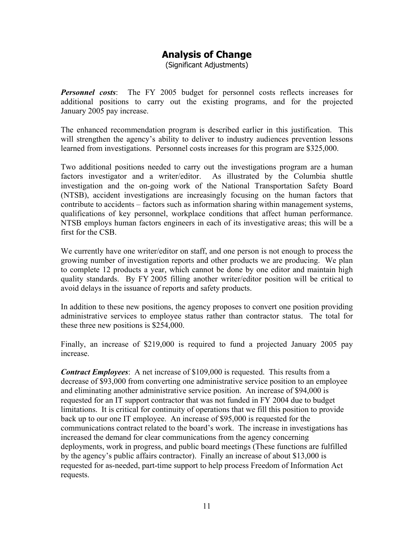# **Analysis of Change**

(Significant Adjustments)

*Personnel costs*: The FY 2005 budget for personnel costs reflects increases for additional positions to carry out the existing programs, and for the projected January 2005 pay increase.

The enhanced recommendation program is described earlier in this justification. This will strengthen the agency's ability to deliver to industry audiences prevention lessons learned from investigations. Personnel costs increases for this program are \$325,000.

Two additional positions needed to carry out the investigations program are a human factors investigator and a writer/editor. As illustrated by the Columbia shuttle investigation and the on-going work of the National Transportation Safety Board (NTSB), accident investigations are increasingly focusing on the human factors that contribute to accidents – factors such as information sharing within management systems, qualifications of key personnel, workplace conditions that affect human performance. NTSB employs human factors engineers in each of its investigative areas; this will be a first for the CSB.

We currently have one writer/editor on staff, and one person is not enough to process the growing number of investigation reports and other products we are producing. We plan to complete 12 products a year, which cannot be done by one editor and maintain high quality standards. By FY 2005 filling another writer/editor position will be critical to avoid delays in the issuance of reports and safety products.

In addition to these new positions, the agency proposes to convert one position providing administrative services to employee status rather than contractor status. The total for these three new positions is \$254,000.

Finally, an increase of \$219,000 is required to fund a projected January 2005 pay increase.

*Contract Employees*: A net increase of \$109,000 is requested. This results from a decrease of \$93,000 from converting one administrative service position to an employee and eliminating another administrative service position. An increase of \$94,000 is requested for an IT support contractor that was not funded in FY 2004 due to budget limitations. It is critical for continuity of operations that we fill this position to provide back up to our one IT employee. An increase of \$95,000 is requested for the communications contract related to the board's work. The increase in investigations has increased the demand for clear communications from the agency concerning deployments, work in progress, and public board meetings (These functions are fulfilled by the agency's public affairs contractor). Finally an increase of about \$13,000 is requested for as-needed, part-time support to help process Freedom of Information Act requests.